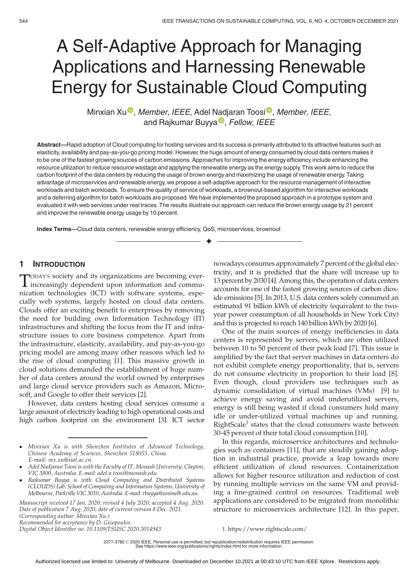# A Self-Adaptive Approach for Managing Applications and Harnessing Renewable Energy for Sustainable Cloud Computing

Minxian Xu<sup>®</sup>[,](https://orcid.org/0000-0001-5655-5337) Member, IEEE, Adel [Na](https://orcid.org/0000-0001-9754-6496)djaran Toosi<sup>®</sup>, Member, IEEE, and Rajkumar Buyya<sup>®</sup>, Fellow, IEEE

Abstract—Rapid adoption of Cloud computing for hosting services and its success is primarily attributed to its attractive features such as elasticity, availability and pay-as-you-go pricing model. However, the huge amount of energy consumed by cloud data centers makes it to be one of the fastest growing sources of carbon emissions. Approaches for improving the energy efficiency include enhancing the resource utilization to reduce resource wastage and applying the renewable energy as the energy supply. This work aims to reduce the carbon footprint of the data centers by reducing the usage of brown energy and maximizing the usage of renewable energy. Taking advantage of microservices and renewable energy, we propose a self-adaptive approach for the resource management of interactive workloads and batch workloads. To ensure the quality of service of workloads, a brownout-based algorithm for interactive workloads and a deferring algorithm for batch workloads are proposed. We have implemented the proposed approach in a prototype system and evaluated it with web services under real traces. The results illustrate our approach can reduce the brown energy usage by 21 percent and improve the renewable energy usage by 10 percent.

 $\bigstar$ 

Index Terms—Cloud data centers, renewable energy efficiency, QoS, microservices, brownout

# 1 INTRODUCTION

TODAY'S society and its organizations are becoming ever-<br>increasingly dependent upon information and commu-<br>interference technologies (GT) with a flame and we nication technologies (ICT) with software systems, especially web systems, largely hosted on cloud data centers. Clouds offer an exciting benefit to enterprises by removing the need for building own Information Technology (IT) infrastructures and shifting the focus from the IT and infrastructure issues to core business competence. Apart from the infrastructure, elasticity, availability, and pay-as-you-go pricing model are among many other reasons which led to the rise of cloud computing [1]. This massive growth in cloud solutions demanded the establishment of huge number of data centers around the world owned by enterprises and large cloud service providers such as Amazon, Microsoft, and Google to offer their services [2].

However, data centers hosting cloud services consume a large amount of electricity leading to high operational costs and high carbon footprint on the environment [3]. ICT sector

Manuscript received 17 Jan. 2020; revised 4 July 2020; accepted 4 Aug. 2020. Date of publication 7 Aug. 2020; date of current version 8 Dec. 2021. (Corresponding author: Minxian Xu.) Recommended for acceptance by D. Gizopoulos.

Digital Object Identifier no. 10.1109/TSUSC.2020.3014943 1. <https://www.rightscale.com/>

nowadays consumes approximately 7 percent of the global electricity, and it is predicted that the share will increase up to 13 percent by 2030 [4]. Among this, the operation of data centers accounts for one of the fastest growing sources of carbon dioxide emissions [5]. In 2013, U.S. data centers solely consumed an estimated 91 billion kWh of electricity (equivalent to the twoyear power consumption of all households in New York City) and this is projected to reach 140 billion kWh by 2020 [6].

One of the main sources of energy inefficiencies in data centers is represented by servers, which are often utilized between 10 to 50 percent of their peak load [7]. This issue is amplified by the fact that server machines in data centers do not exhibit complete energy proportionality, that is, servers do not consume electricity in proportion to their load [8]. Even though, cloud providers use techniques such as dynamic consolidation of virtual machines (VMs) [9] to achieve energy saving and avoid underutilized servers, energy is still being wasted if cloud consumers hold many idle or under-utilized virtual machines up and running. RightScale<sup>1</sup> states that the cloud consumers waste between 30-45 percent of their total cloud consumption [10].

In this regards, microservice architectures and technologies such as containers [11], that are steadily gaining adoption in industrial practice, provide a leap towards more efficient utilization of cloud resources. Containerization allows for higher resource utilization and reduction of cost by running multiple services on the same VM and providing a fine-grained control on resources. Traditional web applications are considered to be migrated from monolithic structure to microservices architecture [12]. In this paper,

2377-3782 2020 IEEE. Personal use is permitted, but republication/redistribution requires IEEE permission. See https://www.ieee.org/publications/rights/index.html for more information.

Minxian Xu is with Shenzhen Institutes of Advanced Technology, Chinese Academy of Sciences, Shenzhen 518055, China. E-mail: [mx.xu@siat.ac.cn.](mailto:mx.xu@siat.ac.cn)

Adel Nadjaran Toosi is with the Faculty of IT, Monash University, Clayton, VIC 3800, Australia. E-mail: [adel.n.toosi@monash.edu](mailto:adel.n.toosi@monash.edu).

Rajkumar Buyya is with Cloud Computing and Distributed Systems (CLOUDS) Lab, School of Computing and Information Systems, University of Melbourne, Parkville VIC 3010, Australia. E-mail: [rbuyya@unimelb.edu.au.](mailto:rbuyya@unimelb.edu.au)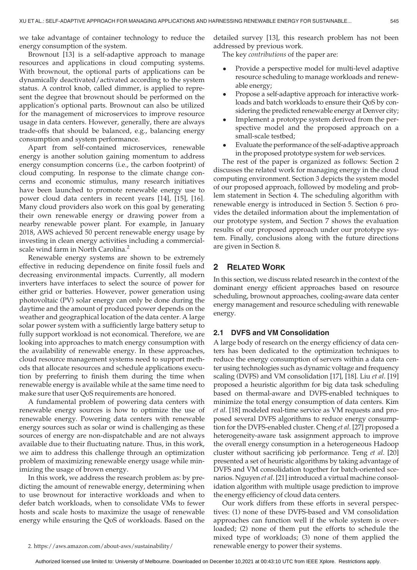we take advantage of container technology to reduce the energy consumption of the system.

Brownout [13] is a self-adaptive approach to manage resources and applications in cloud computing systems. With brownout, the optional parts of applications can be dynamically deactivated/activated according to the system status. A control knob, called dimmer, is applied to represent the degree that brownout should be performed on the application's optional parts. Brownout can also be utilized for the management of microservices to improve resource usage in data centers. However, generally, there are always trade-offs that should be balanced, e.g., balancing energy consumption and system performance.

Apart from self-contained microservices, renewable energy is another solution gaining momentum to address energy consumption concerns (i.e., the carbon footprint) of cloud computing. In response to the climate change concerns and economic stimulus, many research initiatives have been launched to promote renewable energy use to power cloud data centers in recent years [14], [15], [16]. Many cloud providers also work on this goal by generating their own renewable energy or drawing power from a nearby renewable power plant. For example, in January 2018, AWS achieved 50 percent renewable energy usage by investing in clean energy activities including a commercialscale wind farm in North Carolina.<sup>2</sup>

Renewable energy systems are shown to be extremely effective in reducing dependence on finite fossil fuels and decreasing environmental impacts. Currently, all modern inverters have interfaces to select the source of power for either grid or batteries. However, power generation using photovoltaic (PV) solar energy can only be done during the daytime and the amount of produced power depends on the weather and geographical location of the data center. A large solar power system with a sufficiently large battery setup to fully support workload is not economical. Therefore, we are looking into approaches to match energy consumption with the availability of renewable energy. In these approaches, cloud resource management systems need to support methods that allocate resources and schedule applications execution by preferring to finish them during the time when renewable energy is available while at the same time need to make sure that user QoS requirements are honored.

A fundamental problem of powering data centers with renewable energy sources is how to optimize the use of renewable energy. Powering data centers with renewable energy sources such as solar or wind is challenging as these sources of energy are non-dispatchable and are not always available due to their fluctuating nature. Thus, in this work, we aim to address this challenge through an optimization problem of maximizing renewable energy usage while minimizing the usage of brown energy.

In this work, we address the research problem as: by predicting the amount of renewable energy, determining when to use brownout for interactive workloads and when to defer batch workloads, when to consolidate VMs to fewer hosts and scale hosts to maximize the usage of renewable energy while ensuring the QoS of workloads. Based on the detailed survey [13], this research problem has not been addressed by previous work.

The key contributions of the paper are:

- Provide a perspective model for multi-level adaptive resource scheduling to manage workloads and renewable energy;
- Propose a self-adaptive approach for interactive workloads and batch workloads to ensure their QoS by considering the predicted renewable energy at Denver city;
- Implement a prototype system derived from the perspective model and the proposed approach on a small-scale testbed;
- Evaluate the performance of the self-adaptive approach in the proposed prototype system for web services.

The rest of the paper is organized as follows: Section 2 discusses the related work for managing energy in the cloud computing environment. Section 3 depicts the system model of our proposed approach, followed by modeling and problem statement in Section 4. The scheduling algorithm with renewable energy is introduced in Section 5. Section 6 provides the detailed information about the implementation of our prototype system, and Section 7 shows the evaluation results of our proposed approach under our prototype system. Finally, conclusions along with the future directions are given in Section 8.

# 2 RELATED WORK

In this section, we discuss related research in the context of the dominant energy efficient approaches based on resource scheduling, brownout approaches, cooling-aware data center energy management and resource scheduling with renewable energy.

## 2.1 DVFS and VM Consolidation

A large body of research on the energy efficiency of data centers has been dedicated to the optimization techniques to reduce the energy consumption of servers within a data center using technologies such as dynamic voltage and frequency scaling (DVFS) and VM consolidation [17], [18]. Liu et al. [19] proposed a heuristic algorithm for big data task scheduling based on thermal-aware and DVFS-enabled techniques to minimize the total energy consumption of data centers. Kim et al. [18] modeled real-time service as VM requests and proposed several DVFS algorithms to reduce energy consumption for the DVFS-enabled cluster. Cheng et al. [27] proposed a heterogeneity-aware task assignment approach to improve the overall energy consumption in a heterogeneous Hadoop cluster without sacrificing job performance. Teng et al. [20] presented a set of heuristic algorithms by taking advantage of DVFS and VM consolidation together for batch-oriented scenarios. Nguyen et al. [21] introduced a virtual machine consolidation algorithm with multiple usage prediction to improve the energy efficiency of cloud data centers.

Our work differs from these efforts in several perspectives: (1) none of these DVFS-based and VM consolidation approaches can function well if the whole system is overloaded; (2) none of them put the efforts to schedule the mixed type of workloads; (3) none of them applied the 2. <https://aws.amazon.com/about-aws/sustainability/> renewable energy to power their systems.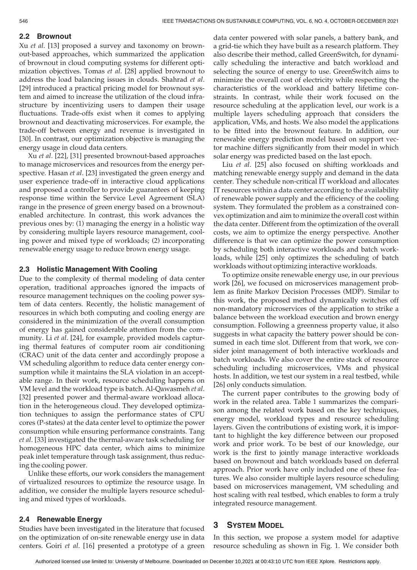## 2.2 Brownout

Xu et al. [13] proposed a survey and taxonomy on brownout-based approaches, which summarized the application of brownout in cloud computing systems for different optimization objectives. Tomas et al. [28] applied brownout to address the load balancing issues in clouds. Shahrad et al. [29] introduced a practical pricing model for brownout system and aimed to increase the utilization of the cloud infrastructure by incentivizing users to dampen their usage fluctuations. Trade-offs exist when it comes to applying brownout and deactivating microservices. For example, the trade-off between energy and revenue is investigated in [30]. In contrast, our optimization objective is managing the energy usage in cloud data centers.

Xu et al. [22], [31] presented brownout-based approaches to manage microservices and resources from the energy perspective. Hasan et al. [23] investigated the green energy and user experience trade-off in interactive cloud applications and proposed a controller to provide guarantees of keeping response time within the Service Level Agreement (SLA) range in the presence of green energy based on a brownoutenabled architecture. In contrast, this work advances the previous ones by: (1) managing the energy in a holistic way by considering multiple layers resource management, cooling power and mixed type of workloads; (2) incorporating renewable energy usage to reduce brown energy usage.

## 2.3 Holistic Management With Cooling

Due to the complexity of thermal modeling of data center operation, traditional approaches ignored the impacts of resource management techniques on the cooling power system of data centers. Recently, the holistic management of resources in which both computing and cooling energy are considered in the minimization of the overall consumption of energy has gained considerable attention from the community. Li et al. [24], for example, provided models capturing thermal features of computer room air conditioning (CRAC) unit of the data center and accordingly propose a VM scheduling algorithm to reduce data center energy consumption while it maintains the SLA violation in an acceptable range. In their work, resource scheduling happens on VM level and the workload type is batch. Al-Qawasmeh et al. [32] presented power and thermal-aware workload allocation in the heterogeneous cloud. They developed optimization techniques to assign the performance states of CPU cores (P-states) at the data center level to optimize the power consumption while ensuring performance constraints. Tang et al. [33] investigated the thermal-aware task scheduling for homogeneous HPC data center, which aims to minimize peak inlet temperature through task assignment, thus reducing the cooling power.

Unlike these efforts, our work considers the management of virtualized resources to optimize the resource usage. In addition, we consider the multiple layers resource scheduling and mixed types of workloads.

#### 2.4 Renewable Energy

Studies have been investigated in the literature that focused on the optimization of on-site renewable energy use in data centers. Goiri et al. [16] presented a prototype of a green data center powered with solar panels, a battery bank, and a grid-tie which they have built as a research platform. They also describe their method, called GreenSwitch, for dynamically scheduling the interactive and batch workload and selecting the source of energy to use. GreenSwitch aims to minimize the overall cost of electricity while respecting the characteristics of the workload and battery lifetime constraints. In contrast, while their work focused on the resource scheduling at the application level, our work is a multiple layers scheduling approach that considers the application, VMs, and hosts. We also model the applications to be fitted into the brownout feature. In addition, our renewable energy prediction model based on support vector machine differs significantly from their model in which solar energy was predicted based on the last epoch.

Liu et al. [25] also focused on shifting workloads and matching renewable energy supply and demand in the data center. They schedule non-critical IT workload and allocates IT resources within a data center according to the availability of renewable power supply and the efficiency of the cooling system. They formulated the problem as a constrained convex optimization and aim to minimize the overall cost within the data center. Different from the optimization of the overall costs, we aim to optimize the energy perspective. Another difference is that we can optimize the power consumption by scheduling both interactive workloads and batch workloads, while [25] only optimizes the scheduling of batch workloads without optimizing interactive workloads.

To optimize onsite renewable energy use, in our previous work [26], we focused on microservices management problem as finite Markov Decision Processes (MDP). Similar to this work, the proposed method dynamically switches off non-mandatory microservices of the application to strike a balance between the workload execution and brown energy consumption. Following a greenness property value, it also suggests in what capacity the battery power should be consumed in each time slot. Different from that work, we consider joint management of both interactive workloads and batch workloads. We also cover the entire stack of resource scheduling including microservices, VMs and physical hosts. In addition, we test our system in a real testbed, while [26] only conducts simulation.

The current paper contributes to the growing body of work in the related area. Table 1 summarizes the comparison among the related work based on the key techniques, energy model, workload types and resource scheduling layers. Given the contributions of existing work, it is important to highlight the key difference between our proposed work and prior work. To be best of our knowledge, our work is the first to jointly manage interactive workloads based on brownout and batch workloads based on deferral approach. Prior work have only included one of these features. We also consider multiple layers resource scheduling based on microservices management, VM scheduling and host scaling with real testbed, which enables to form a truly integrated resource management.

# 3 SYSTEM MODEL

In this section, we propose a system model for adaptive resource scheduling as shown in Fig. 1. We consider both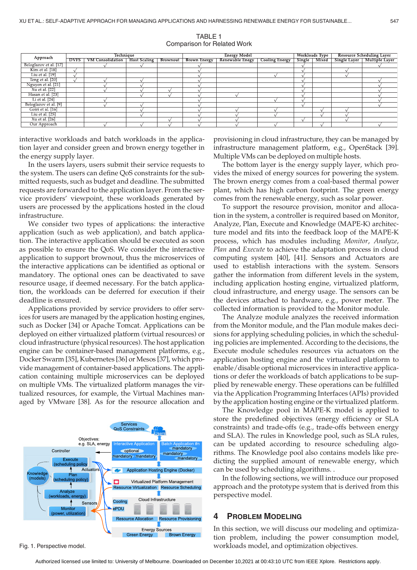| Approach               | Technique   |                  |                     |          | <b>Energy Model</b> |                 |                       | Workloads Type |       | <b>Resource Scheduling Layer</b> |                |
|------------------------|-------------|------------------|---------------------|----------|---------------------|-----------------|-----------------------|----------------|-------|----------------------------------|----------------|
|                        | <b>DVFS</b> | VM Consolidation | <b>Host Scaling</b> | Brownout | <b>Brown Energy</b> | Renewable Enegy | <b>Cooling Energy</b> | Single         | Mixed | Single Layer                     | Multiple Layer |
| Beloglazov et al. [17] |             |                  |                     |          |                     |                 |                       |                |       |                                  |                |
| Kim et al. [18]        |             |                  |                     |          |                     |                 |                       |                |       |                                  |                |
| Liu et al. [19]        |             |                  |                     |          |                     |                 |                       |                |       |                                  |                |
| Teng et al. [20]       |             |                  |                     |          |                     |                 |                       |                |       |                                  |                |
| Nguyen et al. [21]     |             |                  |                     |          |                     |                 |                       |                |       |                                  |                |
| Xu et al. [22]         |             |                  |                     |          |                     |                 |                       |                |       |                                  |                |
| Hasan et al. [23]      |             |                  |                     |          |                     |                 |                       |                |       |                                  |                |
| Li et al. [24]         |             |                  |                     |          |                     |                 |                       |                |       |                                  |                |
| Beloglazov et al. [9]  |             |                  |                     |          |                     |                 |                       |                |       |                                  |                |
| Goiri et al. [16]      |             |                  |                     |          |                     |                 |                       |                |       |                                  |                |
| Liu et al. [25]        |             |                  |                     |          |                     |                 |                       |                |       |                                  |                |
| Xu et al. [26]         |             |                  |                     |          |                     |                 |                       |                |       |                                  |                |
| Our Approach           |             |                  |                     |          |                     |                 |                       |                |       |                                  |                |

TABLE 1 Comparison for Related Work

interactive workloads and batch workloads in the application layer and consider green and brown energy together in the energy supply layer.

In the users layers, users submit their service requests to the system. The users can define QoS constraints for the submitted requests, such as budget and deadline. The submitted requests are forwarded to the application layer. From the service providers' viewpoint, these workloads generated by users are processed by the applications hosted in the cloud infrastructure.

We consider two types of applications: the interactive application (such as web application), and batch application. The interactive application should be executed as soon as possible to ensure the QoS. We consider the interactive application to support brownout, thus the microservices of the interactive applications can be identified as optional or mandatory. The optional ones can be deactivated to save resource usage, if deemed necessary. For the batch application, the workloads can be deferred for execution if their deadline is ensured.

Applications provided by service providers to offer services for users are managed by the application hosting engines, such as Docker [34] or Apache Tomcat. Applications can be deployed on either virtualized platform (virtual resources) or cloud infrastructure (physical resources). The host application engine can be container-based management platforms, e.g., Docker Swarm [35], Kubernetes [36] or Mesos [37], which provide management of container-based applications. The application containing multiple microservices can be deployed on multiple VMs. The virtualized platform manages the virtualized resources, for example, the Virtual Machines managed by VMware [38]. As for the resource allocation and



Fig. 1. Perspective model.

provisioning in cloud infrastructure, they can be managed by infrastructure management platform, e.g., OpenStack [39]. Multiple VMs can be deployed on multiple hosts.

The bottom layer is the energy supply layer, which provides the mixed of energy sources for powering the system. The brown energy comes from a coal-based thermal power plant, which has high carbon footprint. The green energy comes from the renewable energy, such as solar power.

To support the resource provision, monitor and allocation in the system, a controller is required based on Monitor, Analyze, Plan, Execute and Knowledge (MAPE-K) architecture model and fits into the feedback loop of the MAPE-K process, which has modules including Monitor, Analyze, Plan and Execute to achieve the adaptation process in cloud computing system [40], [41]. Sensors and Actuators are used to establish interactions with the system. Sensors gather the information from different levels in the system, including application hosting engine, virtualized platform, cloud infrastructure, and energy usage. The sensors can be the devices attached to hardware, e.g., power meter. The collected information is provided to the Monitor module.

The Analyze module analyzes the received information from the Monitor module, and the Plan module makes decisions for applying scheduling policies, in which the scheduling policies are implemented. According to the decisions, the Execute module schedules resources via actuators on the application hosting engine and the virtualized platform to enable/disable optional microservices in interactive applications or defer the workloads of batch applications to be supplied by renewable energy. These operations can be fulfilled via the Application Programming Interfaces (APIs) provided by the application hosting engine or the virtualized platform.

The Knowledge pool in MAPE-K model is applied to store the predefined objectives (energy efficiency or SLA constraints) and trade-offs (e.g., trade-offs between energy and SLA). The rules in Knowledge pool, such as SLA rules, can be updated according to resource scheduling algorithms. The Knowledge pool also contains models like predicting the supplied amount of renewable energy, which can be used by scheduling algorithms. .

In the following sections, we will introduce our proposed approach and the prototype system that is derived from this perspective model.

### 4 PROBLEM MODELING

In this section, we will discuss our modeling and optimization problem, including the power consumption model, workloads model, and optimization objectives.

Authorized licensed use limited to: University of Melbourne. Downloaded on December 10,2021 at 00:43:10 UTC from IEEE Xplore. Restrictions apply.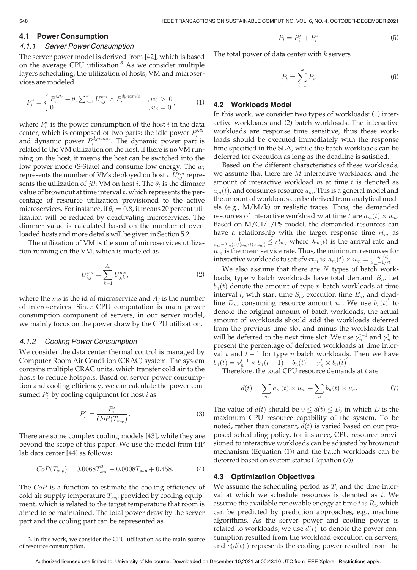### 4.1 Power Consumption

#### 4.1.1 Server Power Consumption

The server power model is derived from [42], which is based on the average CPU utilization.<sup>3</sup> As we consider multiple layers scheduling, the utilization of hosts, VM and microservices are modeled

$$
P_i^s = \begin{cases} P_i^{idle} + \theta_t \sum_{j=1}^{w_i} U_{i,j}^{vm} \times P_i^{dynamic} & , w_i > 0 \\ 0 & , w_i = 0 \end{cases}
$$
 (1)

where  $P_i^s$  is the power consumption of the host *i* in the data center, which is composed of two parts: the idle power  $P_i^{idle}$ and dynamic power  $P_i^{dynamic}$ . The dynamic power part is related to the VM utilization on the host. If there is no VM running on the host, it means the host can be switched into the low power mode (S-State) and consume low energy. The  $w_i$ represents the number of VMs deployed on host  $i$ .  $U_{i,j}^{vm}$  represents the utilization of *jth* VM on host *i*. The  $\theta_t$  is the dimmer value of brownout at time interval  $t$ , which represents the percentage of resource utilization provisioned to the active microservices. For instance, if  $\theta_t = 0.8$ , it means 20 percent utilization will be reduced by deactivating microservices. The dimmer value is calculated based on the number of overloaded hosts and more details will be given in Section 5.2.

The utilization of VM is the sum of microservices utilization running on the VM, which is modeled as

$$
U_{i,j}^{vm} = \sum_{k=1}^{A_j} U_{j,k}^{ms},
$$
 (2)

where the *ms* is the id of microservice and  $A_j$  is the number of microservices. Since CPU computation is main power consumption component of servers, in our server model, we mainly focus on the power draw by the CPU utilization.

#### 4.1.2 Cooling Power Consumption

We consider the data center thermal control is managed by Computer Room Air Condition (CRAC) system. The system contains multiple CRAC units, which transfer cold air to the hosts to reduce hotspots. Based on server power consumption and cooling efficiency, we can calculate the power consumed  $P_i^c$  by cooling equipment for host *i* as

$$
P_i^c = \frac{P_i^s}{CoP(T_{sup})}.
$$
\n(3)

There are some complex cooling models [43], while they are beyond the scope of this paper. We use the model from HP lab data center [44] as follows:

$$
CoP(T_{sup}) = 0.0068T_{sup}^2 + 0.0008T_{sup} + 0.458.
$$
 (4)

The *CoP* is a function to estimate the cooling efficiency of cold air supply temperature  $T_{sup}$  provided by cooling equipment, which is related to the target temperature that room is aimed to be maintained. The total power draw by the server part and the cooling part can be represented as

3. In this work, we consider the CPU utilization as the main source of resource consumption.

 $P_i = P_i^s + P_i^c$  $\sum_{i}^{c}$ . (5)

The total power of data center with  $k$  servers

$$
P_t = \sum_{i=1}^k P_i.
$$
\n
$$
(6)
$$

### 4.2 Workloads Model

In this work, we consider two types of workloads: (1) interactive workloads and (2) batch workloads. The interactive workloads are response time sensitive, thus these workloads should be executed immediately with the response time specified in the SLA, while the batch workloads can be deferred for execution as long as the deadline is satisfied.

Based on the different characteristics of these workloads, we assume that there are  $M$  interactive workloads, and the amount of interactive workload  $m$  at time  $t$  is denoted as  $a_m(t)$ , and consumes resource  $u_m$ . This is a general model and the amount of workloads can be derived from analytical models (e.g., M/M/k) or realistic traces. Thus, the demanded resources of interactive workload m at time t are  $a_m(t) \times u_m$ . Based on M/GI/1/PS model, the demanded resources can have a relationship with the target response time  $rt_m$  as  $\frac{1}{\mu_m - \lambda_m(t)/(a_m(t)\times u_m)} \leq rt_m$ , where  $\lambda_m(t)$  is the arrival rate and  $\mu_m$  is the mean service rate. Thus, the minimum resources for interactive workloads to satisfy  $rt$  is:  $a$  (*t*)  $\times u$  =  $\frac{\lambda_m(t)}{\lambda_m(t)}$ interactive workloads to satisfy  $rt_m$  is:  $a_m(t) \times u_m = \frac{\lambda_m(t)}{\mu_m - 1/rt_m}$ .

We also assume that there are  $N$  types of batch workloads, type *n* batch workloads have total demand  $B_n$ . Let  $b_n(t)$  denote the amount of type n batch workloads at time interval *t*, with start time  $S_n$ , execution time  $E_n$ , and deadline  $D_n$ , consuming resource amount  $u_n$ . We use  $b_n(t)$ <sup>'</sup> to denote the original amount of batch workloads, the actual amount of workloads should add the workloads deferred from the previous time slot and minus the workloads that will be deferred to the next time slot. We use  $\gamma_n^{t-1}$  and  $\gamma_n^t$  to present the percentage of deferred workloads at time interpresent the percentage of deferred workloads at time interval t and  $t-1$  for type n batch workloads. Then we have  $b_n(t) = \gamma_n^{t-1} \times b_n(t-1) + b_n(t)' - \gamma_n^t \times b_n(t)'$ .<br>Therefore the total CPI resource demand

Therefore, the total CPU resource demands at  $t$  are

$$
d(t) = \sum_{m} a_m(t) \times u_m + \sum_{n} b_n(t) \times u_n.
$$
 (7)

The value of  $d(t)$  should be  $0 \leq d(t) \leq D$ , in which D is the maximum CPU resource capability of the system. To be noted, rather than constant,  $d(t)$  is varied based on our proposed scheduling policy, for instance, CPU resource provisioned to interactive workloads can be adjusted by brownout mechanism (Equation (1)) and the batch workloads can be deferred based on system status (Equation (7)).

## 4.3 Optimization Objectives

We assume the scheduling period as  $T$ , and the time interval at which we schedule resources is denoted as  $t$ . We assume the available renewable energy at time  $t$  is  $R_t$ , which can be predicted by prediction approaches, e.g., machine algorithms. As the server power and cooling power is related to workloads, we use  $d(t)^{T}$  to denote the power consumption resulted from the workload execution on servers, and  $c(d(t))$  represents the cooling power resulted from the

Authorized licensed use limited to: University of Melbourne. Downloaded on December 10,2021 at 00:43:10 UTC from IEEE Xplore. Restrictions apply.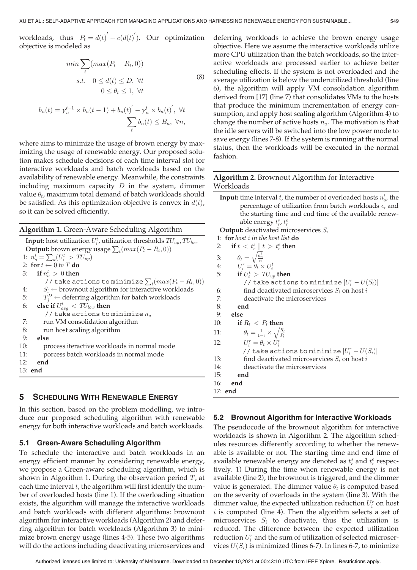workloads, thus  $P_t = d(t)' + c(d(t)').$  Our optimization objective is modeled as

$$
\min \sum_{t} (\max(P_t - R_t, 0))
$$
  
s.t.  $0 \le d(t) \le D, \forall t$   
 $0 \le \theta_t \le 1, \forall t$  (8)

$$
b_n(t) = \gamma_n^{t-1} \times b_n(t-1) + b_n(t)' - \gamma_n^t \times b_n(t)', \forall t
$$
  

$$
\sum_t b_n(t) \leq B_n, \forall n,
$$

where aims to minimize the usage of brown energy by maximizing the usage of renewable energy. Our proposed solution makes schedule decisions of each time interval slot for interactive workloads and batch workloads based on the availability of renewable energy. Meanwhile, the constraints including maximum capacity  $D$  in the system, dimmer value  $\theta_t$ , maximum total demand of batch workloads should be satisfied. As this optimization objective is convex in  $d(t)$ , so it can be solved efficiently.

| <b>Input:</b> host utilization $U_i^t$ , utilization thresholds $TU_{up}, TU_{low}$<br><b>Output:</b> brown energy usage $\sum_{t} (max(P_t - R_t, 0))$<br>1: $n_o^t = \sum_k (U_i^t > TU_{up})$<br>2: for $t \leftarrow 0$ to T do<br>3: if $n_o^t > 0$ then<br>// take actions to minimize $\sum_t (max(P_t - R_t, 0))$<br>$S_i \leftarrow$ brownout algorithm for interactive workloads<br>4:<br>$T_i^D \leftarrow$ deferring algorithm for batch workloads<br>5:<br>6:<br>else if $U_{awa}^t < TU_{low}$ then<br>// take actions to minimize $n_a$<br>7:<br>run VM consolidation algorithm<br>8:<br>run host scaling algorithm<br>else<br>9:<br>process iteractive workloads in normal mode<br>porcess batch workloads in normal mode<br>end | Algorithm 1. Green-Aware Scheduling Algorithm |  |  |  |  |
|--------------------------------------------------------------------------------------------------------------------------------------------------------------------------------------------------------------------------------------------------------------------------------------------------------------------------------------------------------------------------------------------------------------------------------------------------------------------------------------------------------------------------------------------------------------------------------------------------------------------------------------------------------------------------------------------------------------------------------------------------|-----------------------------------------------|--|--|--|--|
| 10:<br>$13:$ end                                                                                                                                                                                                                                                                                                                                                                                                                                                                                                                                                                                                                                                                                                                                 |                                               |  |  |  |  |
|                                                                                                                                                                                                                                                                                                                                                                                                                                                                                                                                                                                                                                                                                                                                                  |                                               |  |  |  |  |
|                                                                                                                                                                                                                                                                                                                                                                                                                                                                                                                                                                                                                                                                                                                                                  |                                               |  |  |  |  |
| 11:                                                                                                                                                                                                                                                                                                                                                                                                                                                                                                                                                                                                                                                                                                                                              |                                               |  |  |  |  |
|                                                                                                                                                                                                                                                                                                                                                                                                                                                                                                                                                                                                                                                                                                                                                  |                                               |  |  |  |  |
|                                                                                                                                                                                                                                                                                                                                                                                                                                                                                                                                                                                                                                                                                                                                                  |                                               |  |  |  |  |
|                                                                                                                                                                                                                                                                                                                                                                                                                                                                                                                                                                                                                                                                                                                                                  |                                               |  |  |  |  |
|                                                                                                                                                                                                                                                                                                                                                                                                                                                                                                                                                                                                                                                                                                                                                  |                                               |  |  |  |  |
|                                                                                                                                                                                                                                                                                                                                                                                                                                                                                                                                                                                                                                                                                                                                                  |                                               |  |  |  |  |
|                                                                                                                                                                                                                                                                                                                                                                                                                                                                                                                                                                                                                                                                                                                                                  |                                               |  |  |  |  |
|                                                                                                                                                                                                                                                                                                                                                                                                                                                                                                                                                                                                                                                                                                                                                  |                                               |  |  |  |  |
|                                                                                                                                                                                                                                                                                                                                                                                                                                                                                                                                                                                                                                                                                                                                                  |                                               |  |  |  |  |
|                                                                                                                                                                                                                                                                                                                                                                                                                                                                                                                                                                                                                                                                                                                                                  |                                               |  |  |  |  |
|                                                                                                                                                                                                                                                                                                                                                                                                                                                                                                                                                                                                                                                                                                                                                  |                                               |  |  |  |  |
|                                                                                                                                                                                                                                                                                                                                                                                                                                                                                                                                                                                                                                                                                                                                                  |                                               |  |  |  |  |
|                                                                                                                                                                                                                                                                                                                                                                                                                                                                                                                                                                                                                                                                                                                                                  | 12:                                           |  |  |  |  |
|                                                                                                                                                                                                                                                                                                                                                                                                                                                                                                                                                                                                                                                                                                                                                  |                                               |  |  |  |  |
|                                                                                                                                                                                                                                                                                                                                                                                                                                                                                                                                                                                                                                                                                                                                                  |                                               |  |  |  |  |

# 5 SCHEDULING WITH RENEWABLE ENERGY

In this section, based on the problem modelling, we introduce our proposed scheduling algorithm with renewable energy for both interactive workloads and batch workloads.

## 5.1 Green-Aware Scheduling Algorithm

To schedule the interactive and batch workloads in an energy efficient manner by considering renewable energy, we propose a Green-aware scheduling algorithm, which is shown in Algorithm 1. During the observation period  $T$ , at each time interval  $t$ , the algorithm will first identify the number of overloaded hosts (line 1). If the overloading situation exists, the algorithm will manage the interactive workloads and batch workloads with different algorithms: brownout algorithm for interactive workloads (Algorithm 2) and deferring algorithm for batch workloads (Algorithm 3) to minimize brown energy usage (lines 4-5). These two algorithms will do the actions including deactivating microservices and

deferring workloads to achieve the brown energy usage objective. Here we assume the interactive workloads utilize more CPU utilization than the batch workloads, so the interactive workloads are processed earlier to achieve better scheduling effects. If the system is not overloaded and the average utilization is below the underutilized threshold (line 6), the algorithm will apply VM consolidation algorithm derived from [17] (line 7) that consolidates VMs to the hosts that produce the minimum incrementation of energy consumption, and apply host scaling algorithm (Algorithm 4) to change the number of active hosts  $n_a$ . The motivation is that the idle servers will be switched into the low power mode to save energy (lines 7-8). If the system is running at the normal status, then the workloads will be executed in the normal fashion.

## Algorithm 2. Brownout Algorithm for Interactive **Workloads**

| <b>Input:</b> time interval t, the number of overloaded hosts $n_{o}^{t}$ , the |
|---------------------------------------------------------------------------------|
| percentage of utilization from batch workloads $\epsilon$ , and                 |
| the starting time and end time of the available renew-                          |
| able energy $t_r^s$ , $t_r^e$                                                   |
| <b>Output:</b> deactivated microservices $S_i$                                  |
| 1: for host i in the host list do                                               |
| if $t < t_r^s \parallel t > t_r^e$ then<br>2:                                   |
|                                                                                 |
| $\theta_t = \sqrt{\frac{n_o^t}{n}}$<br>3:                                       |
| $U_i^r = \theta_t \times U_i^t$<br>4:                                           |
| if $U_i^t > TU_{up}$ then<br>5:                                                 |
| // take actions to minimize $ U_i^r - U(S_i) $                                  |
| find deactivated microservices $S_i$ on host i<br>6:                            |
| 7:<br>deactivate the microservices                                              |
| 8:<br>end                                                                       |
| 9:<br>else                                                                      |
| if $R_t < P_t$ then<br>10:                                                      |
| $\theta_t = \frac{1}{1-\epsilon} \times \sqrt{\frac{R_t}{P_t}}$<br>11:          |
| $U_i^r = \theta_t \times U_i^t$<br>12:                                          |
| // take actions to minimize $ U_i^r - U(S_i) $                                  |
| find deactivated microservices $S_i$ on host i<br>13:                           |
| deactivate the microservices<br>14:                                             |
| 15:<br>end                                                                      |
| 16:<br>end                                                                      |
| 17: end                                                                         |
|                                                                                 |

## 5.2 Brownout Algorithm for Interactive Workloads

The pseudocode of the brownout algorithm for interactive workloads is shown in Algorithm 2. The algorithm schedules resources differently according to whether the renewable is available or not. The starting time and end time of available renewable energy are denoted as  $t_r^s$  and  $t_r^e$  respectively. 1) During the time when renewable energy is not available (line 2), the brownout is triggered, and the dimmer value is generated. The dimmer value  $\theta_t$  is computed based on the severity of overloads in the system (line 3). With the dimmer value, the expected utilization reduction  $U_i^r$  on host  $i$  is computed (line 4). Then the algorithm selects a set of microservices  $S_i$  to deactivate, thus the utilization is reduced. The difference between the expected utilization reduction  $U_i^r$  and the sum of utilization of selected microservices  $U(S_i)$  is minimized (lines 6-7). In lines 6-7, to minimize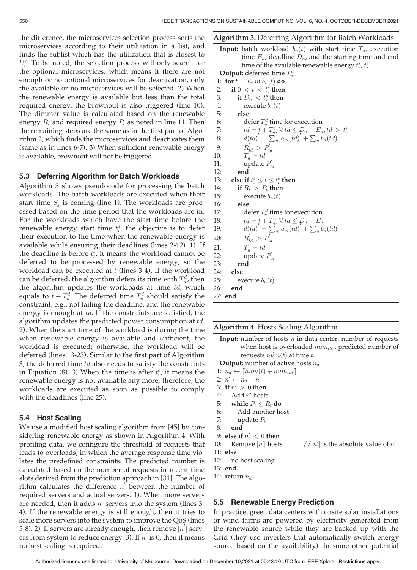the difference, the microservices selection process sorts the microservices according to their utilization in a list, and finds the sublist which has the utilization that is closest to  $U_i^r$ . To be noted, the selection process will only search for the optional microservices, which means if there are not enough or no optional microservices for deactivation, only the available or no microservices will be selected. 2) When the renewable energy is available but less than the total required energy, the brownout is also triggered (line 10). The dimmer value is calculated based on the renewable energy  $R_t$  and required energy  $P_t$  as noted in line 11. Then the remaining steps are the same as in the first part of Algorithm 2, which finds the microservices and deactivates them (same as in lines 6-7). 3) When sufficient renewable energy is available, brownout will not be triggered.

## 5.3 Deferring Algorithm for Batch Workloads

Algorithm 3 shows pseudocode for processing the batch workloads. The batch workloads are executed when their start time  $S_i$  is coming (line 1). The workloads are processed based on the time period that the workloads are in. For the workloads which have the start time before the renewable energy start time  $t_r^s$ , the objective is to defer their execution to the time when the renewable energy is available while ensuring their deadlines (lines 2-12). 1). If the deadline is before  $t_r^s$ , it means the workload cannot be deferred to be processed by renewable energy, so the workload can be executed at  $t$  (lines 3-4). If the workload can be deferred, the algorithm defers its time with  $T_n^d$ , then the algorithm updates the workloads at time  $td$ , which equals to  $t + T_n^d$ . The deferred time  $T_n^d$  should satisfy the constraint, e.g., not failing the deadline, and the renewable energy is enough at td. If the constraints are satisfied, the algorithm updates the predicted power consumption at  $td$ . 2). When the start time of the workload is during the time when renewable energy is available and sufficient, the workload is executed; otherwise, the workload will be deferred (lines 13-23). Similar to the first part of Algorithm 3, the deferred time  $td$  also needs to satisfy the constraints in Equation (8). 3) When the time is after  $t_r^e$ , it means the renewable energy is not available any more, therefore, the workloads are executed as soon as possible to comply with the deadlines (line 25).

## 5.4 Host Scaling

We use a modified host scaling algorithm from [45] by considering renewable energy as shown in Algorithm 4. With profiling data, we configure the threshold of requests that leads to overloads, in which the average response time violates the predefined constraints. The predicted number is calculated based on the number of requests in recent time slots derived from the prediction approach in [31]. The algorithm calculates the difference  $n'$  between the number of required servers and actual servers. 1). When more servers are needed, then it adds  $n'$  servers into the system (lines 3-4). If the renewable energy is still enough, then it tries to scale more servers into the system to improve the QoS (lines 5-8). 2). If servers are already enough, then remove  $|n'|$  servers from system to reduce energy. 3). If  $n^{'}$  is 0, then it means no host scaling is required.

## Algorithm 3. Deferring Algorithm for Batch Workloads

**Input:** batch workload  $b_n(t)$  with start time  $T_n$ , execution time  $E_n$ , deadline  $D_n$ , and the starting time and end time of the available renewable energy  $t_r^s$ ,  $t_r^e$ **Output:** deferred time  $T_n^d$ 

1: for  $t = T_n$  in  $b_n(t)$  do<br>2: if  $0 < t < t^s$  then 2: if  $0 < t < t_r^s$  then 3: if  $D_n < t_r^s$  then 4: execute  $b_n(t)$ <br>5: **else** else 6: defer  $T_n^d$  time for execution 7:  $td = t + T_n^d, \forall td \leq D_n - E_n, td > t_r^s$ 8:  $d(td) = \sum_{m}^{\infty} a_m(td) + \sum_{n} b_n(td)$ 9:  $R'_{td} > P'_{td}$  $10:$  $T'_n = td$ 11:  $\qquad \qquad \text{update } P'_{td}$ 12: end 13: else if  $t_r^s \le t \le t_r^e$  then 14: if  $R_t > P_t$  then<br>15: execute  $b_n(t)$ execute  $b_n(t)$ 16: else 17: defer  $T_n^d$  time for execution 18:  $td = t + T_n^d, \forall td \leq D_n - E_n$ 19:  $d(td) = \sum_{m}^{n} a_m(td) + \sum_{n}^{n} b_n(td)$  $20:$  $t_d > P_{td}$ 21:  $T'_n = td$ 22:  $\qquad \qquad \text{update } P_{td}'$ 23: end 24: else 25: execute  $b_n(t)$ 26: end 27: end

| Algorithm 4. Hosts Scaling Algorithm |  |
|--------------------------------------|--|
|--------------------------------------|--|

```
Input: number of hosts n in data center, number of requests
when host is overloaded num_{thr}, predicted number of
requests n \hat{u}m(t) at time t.
```
**Output:** number of active hosts  $n_a$ 

1:  $n_a \leftarrow \lceil n \hat{u} m(t) \div num_{thr} \rceil$ 2:  $n' \leftarrow n_a - n$ 3: if  $n' > 0$  then 4: Add  $n'$  hosts 5: while  $P_t \le R_t$  do 6: Add another host 7: update  $P_t$ 8: end 9: else if  $n' < 0$  then 10: Remove  $|n'|$  hosts // $|n'|$  $\frac{1}{\ln^n}$  is the absolute value of  $n^r$ 11: else 12: no host scaling 13: end

14: return  $n_a$ 

## 5.5 Renewable Energy Prediction

In practice, green data centers with onsite solar installations or wind farms are powered by electricity generated from the renewable source while they are backed up with the Grid (they use inverters that automatically switch energy source based on the availability). In some other potential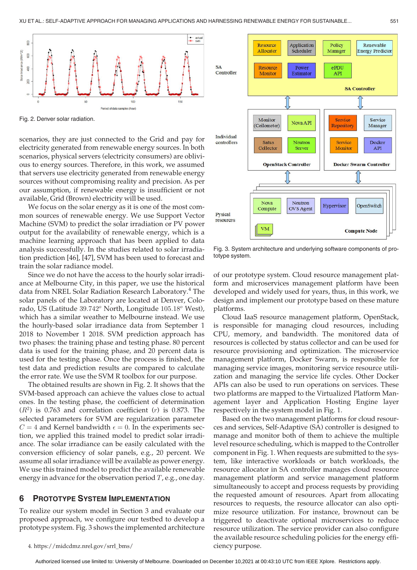

Fig. 2. Denver solar radiation.

scenarios, they are just connected to the Grid and pay for electricity generated from renewable energy sources. In both scenarios, physical servers (electricity consumers) are oblivious to energy sources. Therefore, in this work, we assumed that servers use electricity generated from renewable energy sources without compromising reality and precision. As per our assumption, if renewable energy is insufficient or not available, Grid (Brown) electricity will be used.

We focus on the solar energy as it is one of the most common sources of renewable energy. We use Support Vector Machine (SVM) to predict the solar irradiation or PV power output for the availability of renewable energy, which is a machine learning approach that has been applied to data analysis successfully. In the studies related to solar irradiation prediction [46], [47], SVM has been used to forecast and train the solar radiance model.

Since we do not have the access to the hourly solar irradiance at Melbourne City, in this paper, we use the historical data from NREL Solar Radiation Research Laboratory.<sup>4</sup> The solar panels of the Laboratory are located at Denver, Colorado, US (Latitude 39.742<sup>o</sup> North, Longitude 105.18<sup>o</sup> West), which has a similar weather to Melbourne instead. We use the hourly-based solar irradiance data from September 1 2018 to November 1 2018. SVM prediction approach has two phases: the training phase and testing phase. 80 percent data is used for the training phase, and 20 percent data is used for the testing phase. Once the process is finished, the test data and prediction results are compared to calculate the error rate. We use the SVM R toolbox for our purpose.

The obtained results are shown in Fig. 2. It shows that the SVM-based approach can achieve the values close to actual ones. In the testing phase, the coefficient of determination  $(R<sup>2</sup>)$  is 0.763 and correlation coefficient (*r*) is 0.873. The selected parameters for SVM are regularization parameter  $C = 4$  and Kernel bandwidth  $\epsilon = 0$ . In the experiments section, we applied this trained model to predict solar irradiance. The solar irradiance can be easily calculated with the conversion efficiency of solar panels, e.g., 20 percent. We assume all solar irradiance will be available as power energy. We use this trained model to predict the available renewable energy in advance for the observation period  $T$ , e.g., one day.

# 6 PROTOTYPE SYSTEM IMPLEMENTATION

To realize our system model in Section 3 and evaluate our proposed approach, we configure our testbed to develop a prototype system. Fig. 3 shows the implemented architecture

4. [https://midcdmz.nrel.gov/srrl\\_bms/](https://midcdmz.nrel.gov/srrl_bms/)



Fig. 3. System architecture and underlying software components of prototype system.

of our prototype system. Cloud resource management platform and microservices management platform have been developed and widely used for years, thus, in this work, we design and implement our prototype based on these mature platforms.

Cloud IaaS resource management platform, OpenStack, is responsible for managing cloud resources, including CPU, memory, and bandwidth. The monitored data of resources is collected by status collector and can be used for resource provisioning and optimization. The microservice management platform, Docker Swarm, is responsible for managing service images, monitoring service resource utilization and managing the service life cycles. Other Docker APIs can also be used to run operations on services. These two platforms are mapped to the Virtualized Platform Management layer and Application Hosting Engine layer respectively in the system model in Fig. 1.

Based on the two management platforms for cloud resources and services, Self-Adaptive (SA) controller is designed to manage and monitor both of them to achieve the multiple level resource scheduling, which is mapped to the Controller component in Fig. 1. When requests are submitted to the system, like interactive workloads or batch workloads, the resource allocator in SA controller manages cloud resource management platform and service management platform simultaneously to accept and process requests by providing the requested amount of resources. Apart from allocating resources to requests, the resource allocator can also optimize resource utilization. For instance, brownout can be triggered to deactivate optional microservices to reduce resource utilization. The service provider can also configure the available resource scheduling policies for the energy efficiency purpose.

Authorized licensed use limited to: University of Melbourne. Downloaded on December 10,2021 at 00:43:10 UTC from IEEE Xplore. Restrictions apply.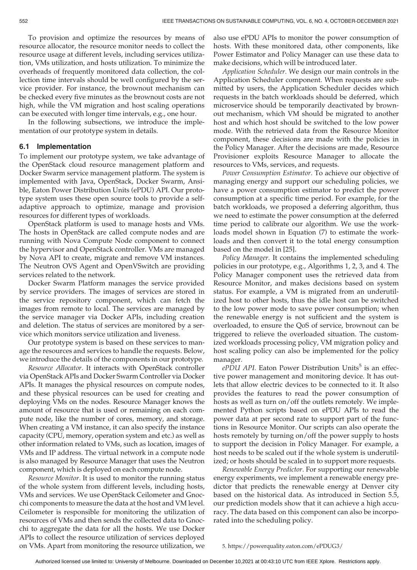To provision and optimize the resources by means of resource allocator, the resource monitor needs to collect the resource usage at different levels, including services utilization, VMs utilization, and hosts utilization. To minimize the overheads of frequently monitored data collection, the collection time intervals should be well configured by the service provider. For instance, the brownout mechanism can be checked every five minutes as the brownout costs are not high, while the VM migration and host scaling operations can be executed with longer time intervals, e.g., one hour.

In the following subsections, we introduce the implementation of our prototype system in details.

## 6.1 Implementation

To implement our prototype system, we take advantage of the OpenStack cloud resource management platform and Docker Swarm service management platform. The system is implemented with Java, OpenStack, Docker Swarm, Ansible, Eaton Power Distribution Units (ePDU) API. Our prototype system uses these open source tools to provide a selfadaptive approach to optimize, manage and provision resources for different types of workloads.

OpenStack platform is used to manage hosts and VMs. The hosts in OpenStack are called compute nodes and are running with Nova Compute Node component to connect the hypervisor and OpenStack controller. VMs are managed by Nova API to create, migrate and remove VM instances. The Neutron OVS Agent and OpenVSwitch are providing services related to the network.

Docker Swarm Platform manages the service provided by service providers. The images of services are stored in the service repository component, which can fetch the images from remote to local. The services are managed by the service manager via Docker APIs, including creation and deletion. The status of services are monitored by a service which monitors service utilization and liveness.

Our prototype system is based on these services to manage the resources and services to handle the requests. Below, we introduce the details of the components in our prototype.

Resource Allocator. It interacts with OpenStack controller via OpenStack APIs and Docker Swarm Controller via Docker APIs. It manages the physical resources on compute nodes, and these physical resources can be used for creating and deploying VMs on the nodes. Resource Manager knows the amount of resource that is used or remaining on each compute node, like the number of cores, memory, and storage. When creating a VM instance, it can also specify the instance capacity (CPU, memory, operation system and etc.) as well as other information related to VMs, such as location, images of VMs and IP address. The virtual network in a compute node is also managed by Resource Manager that uses the Neutron component, which is deployed on each compute node.

Resource Monitor. It is used to monitor the running status of the whole system from different levels, including hosts, VMs and services. We use OpenStack Ceilometer and Gnocchi components to measure the data at the host and VM level. Ceilometer is responsible for monitoring the utilization of resources of VMs and then sends the collected data to Gnocchi to aggregate the data for all the hosts. We use Docker APIs to collect the resource utilization of services deployed on VMs. Apart from monitoring the resource utilization, we also use ePDU APIs to monitor the power consumption of hosts. With these monitored data, other components, like Power Estimator and Policy Manager can use these data to make decisions, which will be introduced later.

Application Scheduler. We design our main controls in the Application Scheduler component. When requests are submitted by users, the Application Scheduler decides which requests in the batch workloads should be deferred, which microservice should be temporarily deactivated by brownout mechanism, which VM should be migrated to another host and which host should be switched to the low power mode. With the retrieved data from the Resource Monitor component, these decisions are made with the policies in the Policy Manager. After the decisions are made, Resource Provisioner exploits Resource Manager to allocate the resources to VMs, services, and requests.

Power Consumption Estimator. To achieve our objective of managing energy and support our scheduling policies, we have a power consumption estimator to predict the power consumption at a specific time period. For example, for the batch workloads, we proposed a deferring algorithm, thus we need to estimate the power consumption at the deferred time period to calibrate our algorithm. We use the workloads model shown in Equation (7) to estimate the workloads and then convert it to the total energy consumption based on the model in [25].

Policy Manager. It contains the implemented scheduling policies in our prototype, e.g., Algorithms 1, 2, 3, and 4. The Policy Manager component uses the retrieved data from Resource Monitor, and makes decisions based on system status. For example, a VM is migrated from an underutilized host to other hosts, thus the idle host can be switched to the low power mode to save power consumption; when the renewable energy is not sufficient and the system is overloaded, to ensure the QoS of service, brownout can be triggered to relieve the overloaded situation. The customized workloads processing policy, VM migration policy and host scaling policy can also be implemented for the policy manager.

ePDU API. Eaton Power Distribution Units<sup>5</sup> is an effective power management and monitoring device. It has outlets that allow electric devices to be connected to it. It also provides the features to read the power consumption of hosts as well as turn on/off the outlets remotely. We implemented Python scripts based on ePDU APIs to read the power data at per second rate to support part of the functions in Resource Monitor. Our scripts can also operate the hosts remotely by turning on/off the power supply to hosts to support the decision in Policy Manager. For example, a host needs to be scaled out if the whole system is underutilized; or hosts should be scaled in to support more requests.

Renewable Energy Predictor. For supporting our renewable energy experiments, we implement a renewable energy predictor that predicts the renewable energy at Denver city based on the historical data. As introduced in Section 5.5, our prediction models show that it can achieve a high accuracy. The data based on this component can also be incorporated into the scheduling policy.

5. <https://powerquality.eaton.com/ePDUG3/>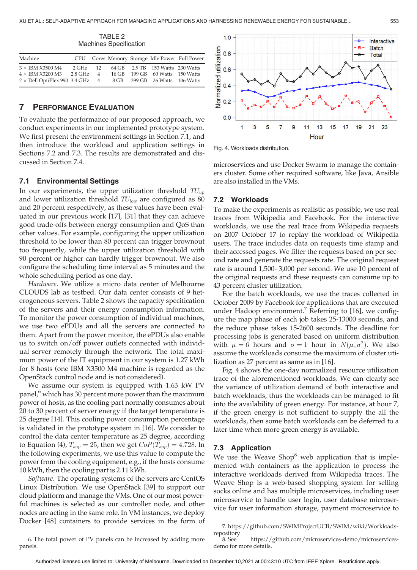TABLE 2 Machines Specification

| Machine                                                                                    |                              |                           |               |                                                                                            | CPU Cores Memory Storage Idle Power Full Power |
|--------------------------------------------------------------------------------------------|------------------------------|---------------------------|---------------|--------------------------------------------------------------------------------------------|------------------------------------------------|
| $3 \times$ IBM X3500 M4<br>$4 \times$ IBM X3200 M3<br>$2 \times$ Dell OptiPlex 990 3.4 GHz | $2 \text{ GHz}$<br>$2.8$ GHz | 12<br>$\overline{4}$<br>4 | 16 GB<br>8 GB | 64 GB 2.9 TB 153 Watts 230 Watts<br>199 GB 60 Watts 150 Watts<br>399 GB 26 Watts 106 Watts |                                                |

## 7 PERFORMANCE EVALUATION

To evaluate the performance of our proposed approach, we conduct experiments in our implemented prototype system. We first present the environment settings in Section 7.1, and then introduce the workload and application settings in Sections 7.2 and 7.3. The results are demonstrated and discussed in Section 7.4.

#### 7.1 Environmental Settings

In our experiments, the upper utilization threshold  $TU_{up}$ and lower utilization threshold  $TU_{low}$  are configured as 80 and 20 percent respectively, as these values have been evaluated in our previous work [17], [31] that they can achieve good trade-offs between energy consumption and QoS than other values. For example, configuring the upper utilization threshold to be lower than 80 percent can trigger brownout too frequently, while the upper utilization threshold with 90 percent or higher can hardly trigger brownout. We also configure the scheduling time interval as 5 minutes and the whole scheduling period as one day.

Hardware. We utilize a micro data center of Melbourne CLOUDS lab as testbed. Our data center consists of 9 heterogeneous servers. Table 2 shows the capacity specification of the servers and their energy consumption information. To monitor the power consumption of individual machines, we use two ePDUs and all the servers are connected to them. Apart from the power monitor, the ePDUs also enable us to switch on/off power outlets connected with individual server remotely through the network. The total maximum power of the IT equipment in our system is 1.27 kWh for 8 hosts (one IBM X3500 M4 machine is regarded as the OpenStack control node and is not considered).

We assume our system is equipped with 1.63 kW PV panel, $6$  which has 30 percent more power than the maximum power of hosts, as the cooling part normally consumes about 20 to 30 percent of server energy if the target temperature is 25 degree [14]. This cooling power consumption percentage is validated in the prototype system in [16]. We consider to control the data center temperature as 25 degree, according to Equation (4),  $T_{sup} = 25$ , then we get  $CoP(T_{sup}) = 4.728$ . In the following experiments, we use this value to compute the power from the cooling equipment, e.g., if the hosts consume 10 kWh, then the cooling part is 2.11 kWh.

Software. The operating systems of the servers are CentOS Linux Distribution. We use OpenStack [39] to support our cloud platform and manage the VMs. One of our most powerful machines is selected as our controller node, and other nodes are acting in the same role. In VM instances, we deploy Docker [48] containers to provide services in the form of



Fig. 4. Workloads distribution.

microservices and use Docker Swarm to manage the containers cluster. Some other required software, like Java, Ansible are also installed in the VMs.

#### 7.2 Workloads

To make the experiments as realistic as possible, we use real traces from Wikipedia and Facebook. For the interactive workloads, we use the real trace from Wikipedia requests on 2007 October 17 to replay the workload of Wikipedia users. The trace includes data on requests time stamp and their accessed pages. We filter the requests based on per second rate and generate the requests rate. The original request rate is around 1,500- 3,000 per second. We use 10 percent of the original requests and these requests can consume up to 43 percent cluster utilization.

For the batch workloads, we use the traces collected in October 2009 by Facebook for applications that are executed under Hadoop environment.<sup>7</sup> Referring to [16], we configure the map phase of each job takes 25-13000 seconds, and the reduce phase takes 15-2600 seconds. The deadline for processing jobs is generated based on uniform distribution with  $\mu = 6$  hours and  $\sigma = 1$  hour in  $N(\mu, \sigma^2)$ . We also assume the workloads consume the maximum of cluster utilization as 27 percent as same as in [16].

Fig. 4 shows the one-day normalized resource utilization trace of the aforementioned workloads. We can clearly see the variance of utilization demand of both interactive and batch workloads, thus the workloads can be managed to fit into the availability of green energy. For instance, at hour 7, if the green energy is not sufficient to supply the all the workloads, then some batch workloads can be deferred to a later time when more green energy is available.

#### 7.3 Application

We use the Weave  $\text{Shop}^8$  web application that is implemented with containers as the application to process the interactive workloads derived from Wikipedia traces. The Weave Shop is a web-based shopping system for selling socks online and has multiple microservices, including user microservice to handle user login, user database microservice for user information storage, payment microservice to

<sup>7.</sup> https://github.com/SWIMProjectUCB/SWIM/wiki/Workloadsrepository<br>8. See

<sup>6.</sup> The total power of PV panels can be increased by adding more panels.

https://github.com/microservices-demo/microservicesdemo for more details.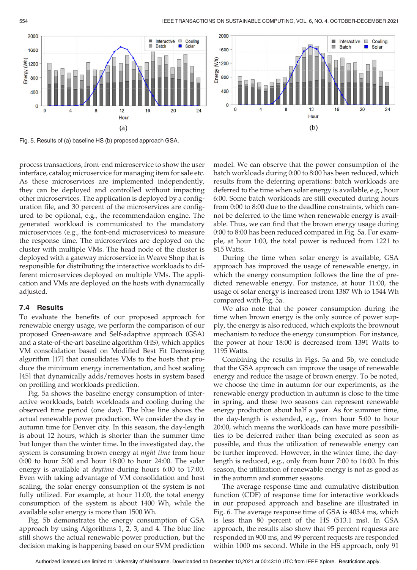

Fig. 5. Results of (a) baseline HS (b) proposed approach GSA.

process transactions, front-end microservice to show the user interface, catalog microservice for managing item for sale etc. As these microservices are implemented independently, they can be deployed and controlled without impacting other microservices. The application is deployed by a configuration file, and 30 percent of the microservices are configured to be optional, e.g., the recommendation engine. The generated workload is communicated to the mandatory microservices (e.g., the font-end microservices) to measure the response time. The microservices are deployed on the cluster with multiple VMs. The head node of the cluster is deployed with a gateway microservice in Weave Shop that is responsible for distributing the interactive workloads to different microservices deployed on multiple VMs. The application and VMs are deployed on the hosts with dynamically adjusted.

## 7.4 Results

To evaluate the benefits of our proposed approach for renewable energy usage, we perform the comparison of our proposed Green-aware and Self-adaptive approach (GSA) and a state-of-the-art baseline algorithm (HS), which applies VM consolidation based on Modified Best Fit Decreasing algorithm [17] that consolidates VMs to the hosts that produce the minimum energy incrementation, and host scaling [45] that dynamically adds/removes hosts in system based on profiling and workloads prediction.

Fig. 5a shows the baseline energy consumption of interactive workloads, batch workloads and cooling during the observed time period (one day). The blue line shows the actual renewable power production. We consider the day in autumn time for Denver city. In this season, the day-length is about 12 hours, which is shorter than the summer time but longer than the winter time. In the investigated day, the system is consuming brown energy at night time from hour 0:00 to hour 5:00 and hour 18:00 to hour 24:00. The solar energy is available at daytime during hours 6:00 to 17:00. Even with taking advantage of VM consolidation and host scaling, the solar energy consumption of the system is not fully utilized. For example, at hour 11:00, the total energy consumption of the system is about 1400 Wh, while the available solar energy is more than 1500 Wh.

Fig. 5b demonstrates the energy consumption of GSA approach by using Algorithms 1, 2, 3, and 4. The blue line still shows the actual renewable power production, but the decision making is happening based on our SVM prediction

model. We can observe that the power consumption of the batch workloads during 0:00 to 8:00 has been reduced, which results from the deferring operations: batch workloads are deferred to the time when solar energy is available, e.g., hour 6:00. Some batch workloads are still executed during hours from 0:00 to 8:00 due to the deadline constraints, which cannot be deferred to the time when renewable energy is available. Thus, we can find that the brown energy usage during 0:00 to 8:00 has been reduced compared in Fig. 5a. For example, at hour 1:00, the total power is reduced from 1221 to 815 Watts.

During the time when solar energy is available, GSA approach has improved the usage of renewable energy, in which the energy consumption follows the line the of predicted renewable energy. For instance, at hour 11:00, the usage of solar energy is increased from 1387 Wh to 1544 Wh compared with Fig. 5a.

We also note that the power consumption during the time when brown energy is the only source of power supply, the energy is also reduced, which exploits the brownout mechanism to reduce the energy consumption. For instance, the power at hour 18:00 is decreased from 1391 Watts to 1195 Watts.

Combining the results in Figs. 5a and 5b, we conclude that the GSA approach can improve the usage of renewable energy and reduce the usage of brown energy. To be noted, we choose the time in autumn for our experiments, as the renewable energy production in autumn is close to the time in spring, and these two seasons can represent renewable energy production about half a year. As for summer time, the day-length is extended, e.g., from hour 5:00 to hour 20:00, which means the workloads can have more possibilities to be deferred rather than being executed as soon as possible, and thus the utilization of renewable energy can be further improved. However, in the winter time, the daylength is reduced, e.g., only from hour 7:00 to 16:00. In this season, the utilization of renewable energy is not as good as in the autumn and summer seasons.

The average response time and cumulative distribution function (CDF) of response time for interactive workloads in our proposed approach and baseline are illustrated in Fig. 6. The average response time of GSA is 403.4 ms, which is less than 80 percent of the HS (513.1 ms). In GSA approach, the results also show that 95 percent requests are responded in 900 ms, and 99 percent requests are responded within 1000 ms second. While in the HS approach, only 91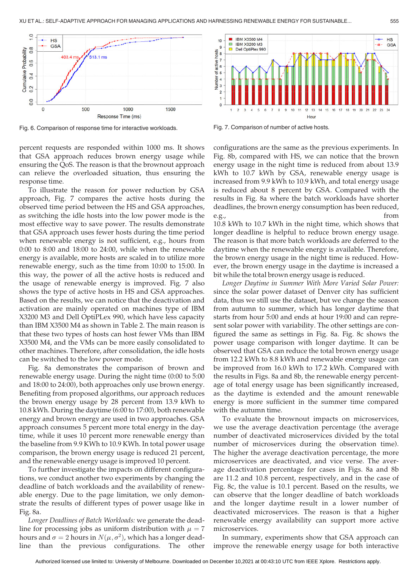

Fig. 6. Comparison of response time for interactive workloads. Fig. 7. Comparison of number of active hosts.

percent requests are responded within 1000 ms. It shows that GSA approach reduces brown energy usage while ensuring the QoS. The reason is that the brownout approach can relieve the overloaded situation, thus ensuring the response time.

To illustrate the reason for power reduction by GSA approach, Fig. 7 compares the active hosts during the observed time period between the HS and GSA approaches, as switching the idle hosts into the low power mode is the most effective way to save power. The results demonstrate that GSA approach uses fewer hosts during the time period when renewable energy is not sufficient, e.g., hours from 0:00 to 8:00 and 18:00 to 24:00, while when the renewable energy is available, more hosts are scaled in to utilize more renewable energy, such as the time from 10:00 to 15:00. In this way, the power of all the active hosts is reduced and the usage of renewable energy is improved. Fig. 7 also shows the type of active hosts in HS and GSA approaches. Based on the results, we can notice that the deactivation and activation are mainly operated on machines type of IBM X3200 M3 and Dell OptiPLex 990, which have less capacity than IBM X3500 M4 as shown in Table 2. The main reason is that these two types of hosts can host fewer VMs than IBM X3500 M4, and the VMs can be more easily consolidated to other machines. Therefore, after consolidation, the idle hosts can be switched to the low power mode.

Fig. 8a demonstrates the comparison of brown and renewable energy usage. During the night time (0:00 to 5:00 and 18:00 to 24:00), both approaches only use brown energy. Benefiting from proposed algorithms, our approach reduces the brown energy usage by 28 percent from 13.9 kWh to 10.8 kWh. During the daytime (6:00 to 17:00), both renewable energy and brown energy are used in two approaches. GSA approach consumes 5 percent more total energy in the daytime, while it uses 10 percent more renewable energy than the baseline from 9.9 KWh to 10.9 KWh. In total power usage comparison, the brown energy usage is reduced 21 percent, and the renewable energy usage is improved 10 percent.

To further investigate the impacts on different configurations, we conduct another two experiments by changing the deadline of batch workloads and the availability of renewable energy. Due to the page limitation, we only demonstrate the results of different types of power usage like in Fig. 8a.

Longer Deadlines of Batch Workloads: we generate the deadline for processing jobs as uniform distribution with  $\mu = 7$ hours and  $\sigma = 2$  hours in  $N(\mu, \sigma^2)$ , which has a longer dead-<br>line than the previous configurations. The other previous configurations.



configurations are the same as the previous experiments. In Fig. 8b, compared with HS, we can notice that the brown energy usage in the night time is reduced from about 13.9 kWh to 10.7 kWh by GSA, renewable energy usage is increased from 9.9 kWh to 10.9 kWh, and total energy usage is reduced about 8 percent by GSA. Compared with the results in Fig. 8a where the batch workloads have shorter deadlines, the brown energy consumption has been reduced, e.g., from

10.8 kWh to 10.7 kWh in the night time, which shows that longer deadline is helpful to reduce brown energy usage. The reason is that more batch workloads are deferred to the daytime when the renewable energy is available. Therefore, the brown energy usage in the night time is reduced. However, the brown energy usage in the daytime is increased a bit while the total brown energy usage is reduced.

Longer Daytime in Summer With More Varied Solar Power: since the solar power dataset of Denver city has sufficient data, thus we still use the dataset, but we change the season from autumn to summer, which has longer daytime that starts from hour 5:00 and ends at hour 19:00 and can represent solar power with variability. The other settings are configured the same as settings in Fig. 8a. Fig. 8c shows the power usage comparison with longer daytime. It can be observed that GSA can reduce the total brown energy usage from 12.2 kWh to 8.8 kWh and renewable energy usage can be improved from 16.0 kWh to 17.2 kWh. Compared with the results in Figs. 8a and 8b, the renewable energy percentage of total energy usage has been significantly increased, as the daytime is extended and the amount renewable energy is more sufficient in the summer time compared with the autumn time.

To evaluate the brownout impacts on microservices, we use the average deactivation percentage (the average number of deactivated microservices divided by the total number of microservices during the observation time). The higher the average deactivation percentage, the more microservices are deactivated, and vice verse. The average deactivation percentage for cases in Figs. 8a and 8b are 11.2 and 10.8 percent, respectively, and in the case of Fig. 8c, the value is 10.1 percent. Based on the results, we can observe that the longer deadline of batch workloads and the longer daytime result in a lower number of deactivated microservices. The reason is that a higher renewable energy availability can support more active microservices.

In summary, experiments show that GSA approach can improve the renewable energy usage for both interactive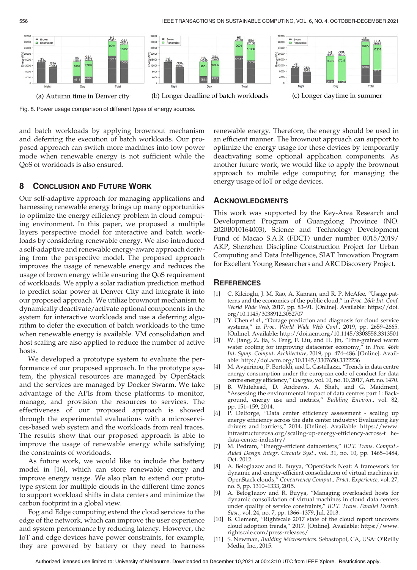

Fig. 8. Power usage comparison of different types of energy sources.

and batch workloads by applying brownout mechanism and deferring the execution of batch workloads. Our proposed approach can switch more machines into low power mode when renewable energy is not sufficient while the QoS of workloads is also ensured.

# 8 CONCLUSION AND FUTURE WORK

Our self-adaptive approach for managing applications and harnessing renewable energy brings up many opportunities to optimize the energy efficiency problem in cloud computing environment. In this paper, we proposed a multiple layers perspective model for interactive and batch workloads by considering renewable energy. We also introduced a self-adaptive and renewable energy-aware approach deriving from the perspective model. The proposed approach improves the usage of renewable energy and reduces the usage of brown energy while ensuring the QoS requirement of workloads. We apply a solar radiation prediction method to predict solar power at Denver City and integrate it into our proposed approach. We utilize brownout mechanism to dynamically deactivate/activate optional components in the system for interactive workloads and use a deferring algorithm to defer the execution of batch workloads to the time when renewable energy is available. VM consolidation and host scaling are also applied to reduce the number of active hosts.

We developed a prototype system to evaluate the performance of our proposed approach. In the prototype system, the physical resources are managed by OpenStack and the services are managed by Docker Swarm. We take advantage of the APIs from these platforms to monitor, manage, and provision the resources to services. The effectiveness of our proposed approach is showed through the experimental evaluations with a microservices-based web system and the workloads from real traces. The results show that our proposed approach is able to improve the usage of renewable energy while satisfying the constraints of workloads.

As future work, we would like to include the battery model in [16], which can store renewable energy and improve energy usage. We also plan to extend our prototype system for multiple clouds in the different time zones to support workload shifts in data centers and minimize the carbon footprint in a global view.

Fog and Edge computing extend the cloud services to the edge of the network, which can improve the user experience and system performance by reducing latency. However, the IoT and edge devices have power constraints, for example, they are powered by battery or they need to harness renewable energy. Therefore, the energy should be used in an efficient manner. The brownout approach can support to optimize the energy usage for these devices by temporarily deactivating some optional application components. As another future work, we would like to apply the brownout approach to mobile edge computing for managing the energy usage of IoT or edge devices.

## ACKNOWLEDGMENTS

This work was supported by the Key-Area Research and Development Program of Guangdong Province (NO. 2020B010164003), Science and Technology Development Fund of Macao S.A.R (FDCT) under number 0015/2019/ AKP, Shenzhen Discipline Construction Project for Urban Computing and Data Intelligence, SIAT Innovation Program for Excellent Young Researchers and ARC Discovery Project.

## **REFERENCES**

- [1] C. Kilcioglu, J. M. Rao, A. Kannan, and R. P. McAfee, "Usage patterns and the economics of the public cloud," in Proc. 26th Int. Conf. World Wide Web, 2017, pp. 83–91. [Online]. Available: [https://doi.](https://doi.org/10.1145/3038912.3052707) [org/10.1145/3038912.3052707](https://doi.org/10.1145/3038912.3052707)
- [2] Y. Chen et al., "Outage prediction and diagnosis for cloud service systems," in Proc. World Wide Web Conf., 2019, pp. 2659–2665. [Online]. Available:<http://doi.acm.org/10.1145/3308558.3313501>
- [3] W. Jiang, Z. Jia, S. Feng, F. Liu, and H. Jin, "Fine-grained warm water cooling for improving datacenter economy," in Proc. 46th Int. Symp. Comput. Architecture, 2019, pp. 474–486. [Online]. Available:<http://doi.acm.org/10.1145/3307650.3322236>
- [4] M. Avgerinou, P. Bertoldi, and L. Castellazzi, "Trends in data centre energy consumption under the european code of conduct for data centre energy efficiency," Energies, vol. 10, no. 10, 2017, Art. no. 1470.
- [5] B. Whitehead, D. Andrews, A. Shah, and G. Maidment, "Assessing the environmental impact of data centres part 1: Background, energy use and metrics," Building Environ., vol. 82, pp. 151–159, 2014.
- [6] P. Delforge, "Data center efficiency assessment scaling up energy efficiency across the data center industry: Evaluating key drivers and barriers," 2014. [Online]. Available: [https://www.](https://www.infrastructureusa.org/scaling-up-energy-efficiency-across-t he-data-center-industry/) [infrastructureusa.org/scaling-up-energy-efficiency-across-t he](https://www.infrastructureusa.org/scaling-up-energy-efficiency-across-t he-data-center-industry/)[data-center-industry/](https://www.infrastructureusa.org/scaling-up-energy-efficiency-across-t he-data-center-industry/)
- M. Pedram, "Energy-efficient datacenters," IEEE Trans. Comput.-Aided Design Integr. Circuits Syst., vol. 31, no. 10, pp. 1465–1484, Oct. 2012.
- [8] A. Beloglazov and R. Buyya, "OpenStack Neat: A framework for dynamic and energy-efficient consolidation of virtual machines in OpenStack clouds," Concurrency Comput., Pract. Experience, vol. 27, no. 5, pp. 1310–1333, 2015.
- [9] A. Belog1azov and R. Buyya, "Managing overloaded hosts for dynamic consolidation of virtual machines in cloud data centers under quality of service constraints," IEEE Trans. Parallel Distrib. Syst., vol. 24, no. 7, pp. 1366–1379, Jul. 2013.
- [10] B. Clement, "Rightscale 2017 state of the cloud report uncovers cloud adoption trends," 2017. [Online]. Available: [https://www.](https://www.rightscale.com/press-releases/) [rightscale.com/press-releases/](https://www.rightscale.com/press-releases/)
- [11] S. Newman, Building Microservices. Sebastopol, CA, USA: O'Reilly Media, Inc., 2015.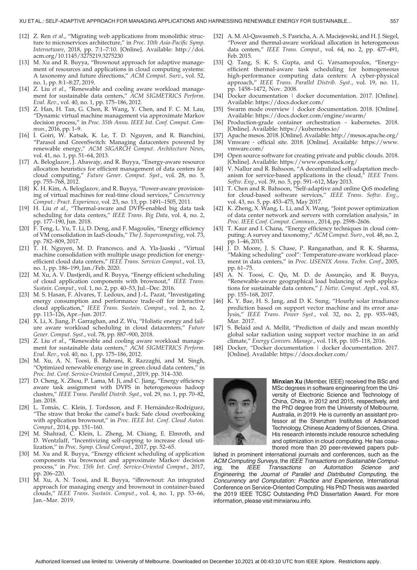- [12] Z. Ren et al., "Migrating web applications from monolithic structure to microservices architecture," in Proc. 10th Asia-Pacific Symp. Internetware, 2018, pp. 7:1–7:10. [Online]. Available: [http://doi.](http://doi.acm.org/10.1145/3275219.3275230) [acm.org/10.1145/3275219.3275230](http://doi.acm.org/10.1145/3275219.3275230)
- [13] M. Xu and R. Buyya, "Brownout approach for adaptive management of resources and applications in cloud computing systems: A taxonomy and future directions," ACM Comput. Surv., vol. 52, no. 1, pp. 8:1–8:27, 2019.
- [14] Z. Liu et al., "Renewable and cooling aware workload management for sustainable data centers," ACM SIGMETRICS Perform. Eval. Rev., vol. 40, no. 1, pp. 175–186, 2012.
- [15] Z. Han, H. Tan, G. Chen, R. Wang, Y. Chen, and F. C. M. Lau, "Dynamic virtual machine management via approximate Markov decision process," in Proc. 35th Annu. IEEE Int. Conf. Comput. Commun., 2016, pp. 1–9.
- [16] Í. Goiri, W. Katsak, K. Le, T. D. Nguyen, and R. Bianchini, "Parasol and GreenSwitch: Managing datacenters powered by renewable energy," ACM SIGARCH Comput. Architecture News, vol. 41, no. 1, pp. 51–64, 2013.
- [17] A. Beloglazov, J. Abawajy, and R. Buyya, "Energy-aware resource allocation heuristics for efficient management of data centers for cloud computing," Future Gener. Comput. Syst., vol. 28, no. 5, pp. 755–768, 2012.
- [18] K. H. Kim, A. Beloglazov, and R. Buyya, "Power-aware provisioning of virtual machines for real-time cloud services," Concurrency Comput.: Pract. Experience, vol. 23, no. 13, pp. 1491–1505, 2011.
- [19] H. Liu et al., "Thermal-aware and DVFS-enabled big data task scheduling for data centers," IEEE Trans. Big Data, vol. 4, no. 2, pp. 177–190, Jun. 2018.
- [20] F. Teng, L. Yu, T. Li, D. Deng, and F. Magoulès, "Energy efficiency of VM consolidation in IaaS clouds," The J. Supercomputing, vol. 73, pp. 782–809, 2017.
- [21] T. H. Nguyen, M. D. Francesco, and A. Yla-Jaaski , "Virtual machine consolidation with multiple usage prediction for energyefficient cloud data centers," IEEE Trans. Services Comput., vol. 13, no. 1, pp. 186–199, Jan./Feb. 2020.
- [22] M. Xu, A. V. Dastjerdi, and R. Buyya, "Energy efficient scheduling of cloud application components with brownout," IEEE Trans. Sustain. Comput., vol. 1, no. 2, pp. 40–53, Jul.–Dec. 2016.
- [23] M. S. Hasan, F. Alvares, T. Ledoux, and J.-L. Pazat, "Investigating energy consumption and performance trade-off for interactive cloud application," IEEE Trans. Sustain. Comput., vol. 2, no. 2, pp. 113–126, Apr.–Jun. 2017.
- [24] X. Li, X. Jiang, P. Garraghan, and Z. Wu, "Holistic energy and failure aware workload scheduling in cloud datacenters," Future Gener. Comput. Syst., vol. 78, pp. 887–900, 2018.
- [25] Z. Liu et al., "Renewable and cooling aware workload management for sustainable data centers," ACM SIGMETRICS Perform. Eval. Rev., vol. 40, no. 1, pp. 175–186, 2012.
- [26] M. Xu, A. N. Toosi, B. Bahrani, R. Razzaghi, and M. Singh, "Optimized renewable energy use in green cloud data centers," in Proc. Int. Conf. Service-Oriented Comput., 2019, pp. 314-330.
- [27] D. Cheng, X. Zhou, P. Lama, M. Ji, and C. Jiang, "Energy efficiency aware task assignment with DVFS in heterogeneous hadoop clusters," IEEE Trans. Parallel Distrib. Syst., vol. 29, no. 1, pp. 70–82, Jan. 2018.
- [28] L. Tomás, C. Klein, J. Tordsson, and F. Hernández-Rodríguez, "The straw that broke the camel's back: Safe cloud overbooking with application brownout," in Proc. IEEE Int. Conf. Cloud Auton. Comput., 2014, pp. 151–160.
- [29] M. Shahrad, C. Klein, L. Zheng, M. Chiang, E. Elmroth, and D. Wentzlaff, "Incentivizing self-capping to increase cloud utilization," in Proc. Symp. Cloud Comput., 2017, pp. 52–65.
- [30] M. Xu and R. Buyya, "Energy efficient scheduling of application components via brownout and approximate Markov decision process," in Proc. 15th Int. Conf. Service-Oriented Comput., 2017, pp. 206–220.
- [31] M. Xu, A. N. Toosi, and R. Buyya, "iBrownout: An integrated approach for managing energy and brownout in container-based clouds," IEEE Trans. Sustain. Comput., vol. 4, no. 1, pp. 53–66, Jan.–Mar. 2019.
- [32] A. M. Al-Qawasmeh , S. Pasricha, A. A. Maciejewski, and H. J. Siegel, "Power and thermal-aware workload allocation in heterogeneous data centers," IEEE Trans. Comput., vol. 64, no. 2, pp. 477–491, Feb. 2015.
- [33] Q. Tang, S. K. S. Gupta, and G. Varsamopoulos, "Energyefficient thermal-aware task scheduling for homogeneous high-performance computing data centers: A cyber-physical approach," IEEE Trans. Parallel Distrib. Syst., vol. 19, no. 11, pp. 1458–1472, Nov. 2008.
- [34] Docker documentation | docker documentation. 2017. [Online]. Available:<https://docs.docker.com/>
- [35] Swarm mode overview | docker documentation. 2018. [Online]. Available:<https://docs.docker.com/engine/swarm/>
- [36] Production-grade container orchestration kubernetes. 2018. [Online]. Available:<https://kubernetes.io/>
- [37] Apache mesos. 2018. [Online]. Available:<http://mesos.apache.org/>
- [38] Vmware official site. 2018. [Online]. Available: [https://www.](https://www.vmware.com/) [vmware.com/](https://www.vmware.com/)
- [39] Open source software for creating private and public clouds. 2018. [Online]. Available:<https://www.openstack.org/>
- [40] V. Nallur and R. Bahsoon, "A decentralized self-adaptation mechanism for service-based applications in the cloud," IEEE Trans. Softw. Eng., vol. 39, no. 5, pp. 591–612, May 2013.
- [41] T. Chen and R. Bahsoon, "Self-adaptive and online QoS modeling for cloud-based software services," IEEE Trans. Softw. Eng., vol. 43, no. 5, pp. 453–475, May 2017.
- [42] K. Zheng, X. Wang, L. Li, and X. Wang, "Joint power optimization of data center network and servers with correlation analysis," in Proc. IEEE Conf. Comput. Commun., 2014, pp. 2598–2606.
- [43] T. Kaur and I. Chana, "Energy efficiency techniques in cloud computing: A survey and taxonomy," ACM Comput. Surv., vol. 48, no. 2, pp. 1–46, 2015.
- [44] J. D. Moore, J. S. Chase, P. Ranganathan, and R. K. Sharma, "Making scheduling" cool": Temperature-aware workload placement in data centers," in Proc. USENIX Annu. Techn. Conf., 2005, pp. 61–75.
- $[45]$  A. N. Toosi, C. Qu, M. D. de Assunção, and R. Buyya, "Renewable-aware geographical load balancing of web applications for sustainable data centers," J. Netw. Comput. Appl., vol. 83, pp. 155–168, 2017.
- [46] K. Y. Bae, H. S. Jang, and D. K. Sung, "Hourly solar irradiance prediction based on support vector machine and its error analysis," IEEE Trans. Power Syst., vol. 32, no. 2, pp. 935–945, Mar. 2017.
- [47] S. Belaid and A. Mellit, "Prediction of daily and mean monthly global solar radiation using support vector machine in an arid climate," Energy Convers. Manage., vol. 118, pp. 105–118, 2016.
- [48] Docker, "Docker documentation | docker documentation. 2017. [Online]. Available:<https://docs.docker.com/>



Minxian Xu (Member, IEEE) received the BSc and MSc degrees in software engineering from the University of Electronic Science and Technology of China, China, in 2012 and 2015, respectively, and the PhD degree from the University of Melbourne, Australia, in 2019. He is currently an assistant professor at the Shenzhen Institutes of Advanced Technology, Chinese Academy of Sciences, China. His research interests include resource scheduling and optimization in cloud computing. He has coauthored more than 20 peer-reviewed papers pub-

lished in prominent international journals and conferences, such as the ACM Computing Surveys, the IEEE Transactions on Sustainable Comput-<br>ing. the IEEE Transactions on Automation Science and the IEEE Transactions on Automation Engineering, the Journal of Parallel and Distributed Computing, the Concurrency and Computation: Practice and Experience, International Conference on Service-Oriented Computing. His PhD Thesis was awarded the 2019 IEEE TCSC Outstanding PhD Dissertation Award. For more information, please visit minxianxu.info.